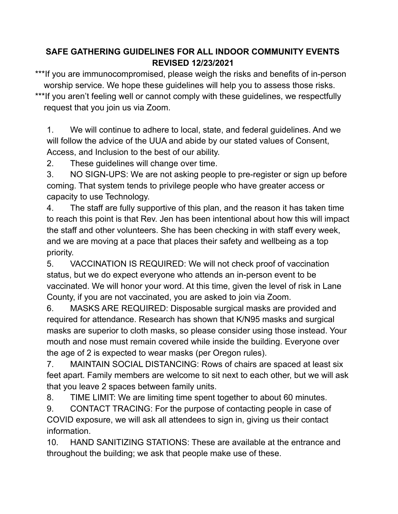## **SAFE GATHERING GUIDELINES FOR ALL INDOOR COMMUNITY EVENTS REVISED 12/23/2021**

\*\*\*If you are immunocompromised, please weigh the risks and benefits of in-person worship service. We hope these guidelines will help you to assess those risks. \*\*\*If you aren't feeling well or cannot comply with these guidelines, we respectfully request that you join us via Zoom.

1. We will continue to adhere to local, state, and federal guidelines. And we will follow the advice of the UUA and abide by our stated values of Consent, Access, and Inclusion to the best of our ability.

2. These guidelines will change over time.

3. NO SIGN-UPS: We are not asking people to pre-register or sign up before coming. That system tends to privilege people who have greater access or capacity to use Technology.

4. The staff are fully supportive of this plan, and the reason it has taken time to reach this point is that Rev. Jen has been intentional about how this will impact the staff and other volunteers. She has been checking in with staff every week, and we are moving at a pace that places their safety and wellbeing as a top priority.

5. VACCINATION IS REQUIRED: We will not check proof of vaccination status, but we do expect everyone who attends an in-person event to be vaccinated. We will honor your word. At this time, given the level of risk in Lane County, if you are not vaccinated, you are asked to join via Zoom.

6. MASKS ARE REQUIRED: Disposable surgical masks are provided and required for attendance. Research has shown that K/N95 masks and surgical masks are superior to cloth masks, so please consider using those instead. Your mouth and nose must remain covered while inside the building. Everyone over the age of 2 is expected to wear masks (per Oregon rules).

7. MAINTAIN SOCIAL DISTANCING: Rows of chairs are spaced at least six feet apart. Family members are welcome to sit next to each other, but we will ask that you leave 2 spaces between family units.

8. TIME LIMIT: We are limiting time spent together to about 60 minutes.

9. CONTACT TRACING: For the purpose of contacting people in case of COVID exposure, we will ask all attendees to sign in, giving us their contact information.

10. HAND SANITIZING STATIONS: These are available at the entrance and throughout the building; we ask that people make use of these.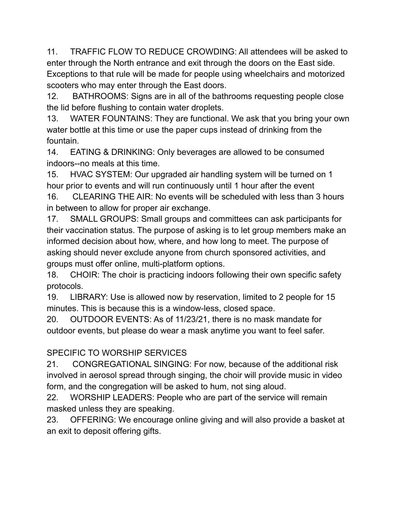11. TRAFFIC FLOW TO REDUCE CROWDING: All attendees will be asked to enter through the North entrance and exit through the doors on the East side. Exceptions to that rule will be made for people using wheelchairs and motorized scooters who may enter through the East doors.

12. BATHROOMS: Signs are in all of the bathrooms requesting people close the lid before flushing to contain water droplets.

13. WATER FOUNTAINS: They are functional. We ask that you bring your own water bottle at this time or use the paper cups instead of drinking from the fountain.

14. EATING & DRINKING: Only beverages are allowed to be consumed indoors--no meals at this time.

15. HVAC SYSTEM: Our upgraded air handling system will be turned on 1 hour prior to events and will run continuously until 1 hour after the event

16. CLEARING THE AIR: No events will be scheduled with less than 3 hours in between to allow for proper air exchange.

17. SMALL GROUPS: Small groups and committees can ask participants for their vaccination status. The purpose of asking is to let group members make an informed decision about how, where, and how long to meet. The purpose of asking should never exclude anyone from church sponsored activities, and groups must offer online, multi-platform options.

18. CHOIR: The choir is practicing indoors following their own specific safety protocols.

19. LIBRARY: Use is allowed now by reservation, limited to 2 people for 15 minutes. This is because this is a window-less, closed space.

20. OUTDOOR EVENTS: As of 11/23/21, there is no mask mandate for outdoor events, but please do wear a mask anytime you want to feel safer.

## SPECIFIC TO WORSHIP SERVICES

21. CONGREGATIONAL SINGING: For now, because of the additional risk involved in aerosol spread through singing, the choir will provide music in video form, and the congregation will be asked to hum, not sing aloud.

22. WORSHIP LEADERS: People who are part of the service will remain masked unless they are speaking.

23. OFFERING: We encourage online giving and will also provide a basket at an exit to deposit offering gifts.